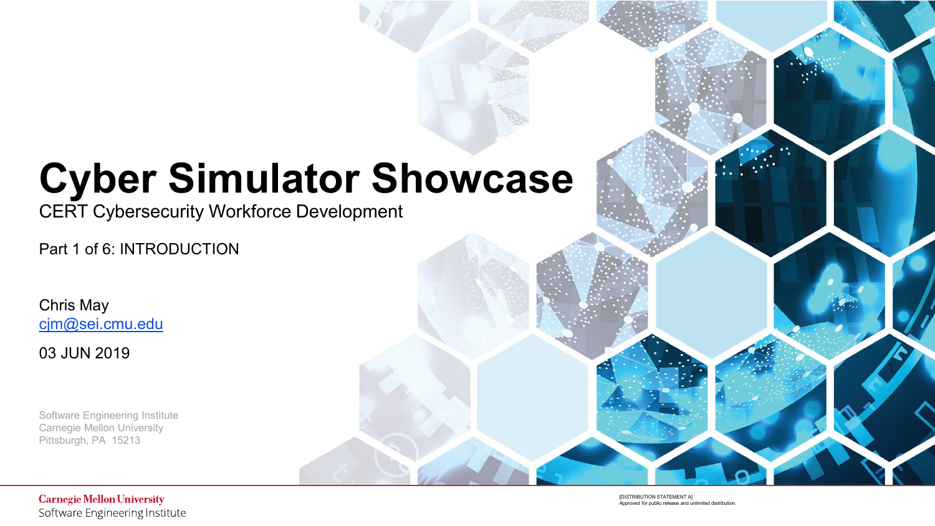# **Cyber Simulator Showcase**

CERT Cybersecurity Workforce Development

Part 1 of 6: INTRODUCTION

Chris May [cjm@sei.cmu.edu](mailto:cjm@sei.cmu.edu)

03 JUN 2019

Software Engineering Institute Carnegie Mellon University Pittsburgh, PA 15213

> **[DISTRIBUTION STATEMENT A]**<br>Approved for public release and unlimited distribution. **IDISTRIBUTION STATEMENT AL** Approved for public release and unlimited distribution.

**Carnegie Mellon University** Software Engineering Institute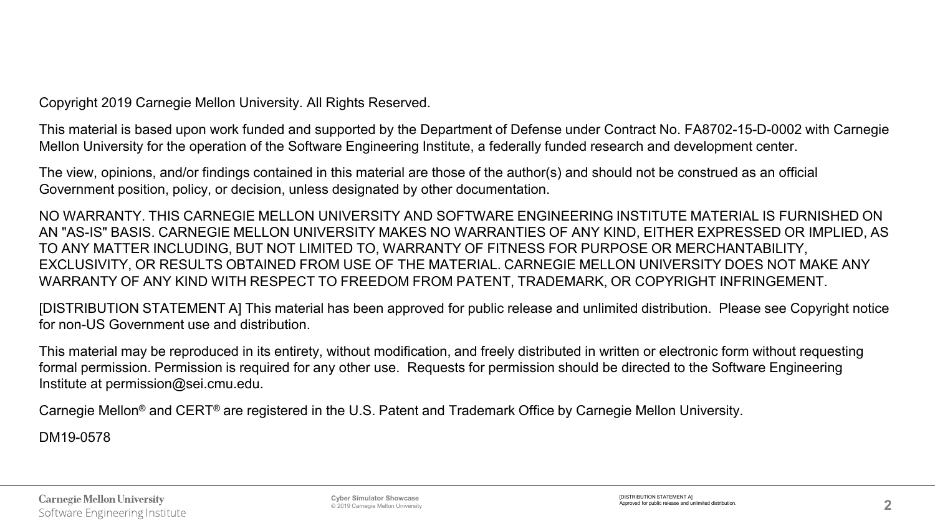Copyright 2019 Carnegie Mellon University. All Rights Reserved.

This material is based upon work funded and supported by the Department of Defense under Contract No. FA8702-15-D-0002 with Carnegie Mellon University for the operation of the Software Engineering Institute, a federally funded research and development center.

The view, opinions, and/or findings contained in this material are those of the author(s) and should not be construed as an official Government position, policy, or decision, unless designated by other documentation.

NO WARRANTY. THIS CARNEGIE MELLON UNIVERSITY AND SOFTWARE ENGINEERING INSTITUTE MATERIAL IS FURNISHED ON AN "AS-IS" BASIS. CARNEGIE MELLON UNIVERSITY MAKES NO WARRANTIES OF ANY KIND, EITHER EXPRESSED OR IMPLIED, AS TO ANY MATTER INCLUDING, BUT NOT LIMITED TO, WARRANTY OF FITNESS FOR PURPOSE OR MERCHANTABILITY, EXCLUSIVITY, OR RESULTS OBTAINED FROM USE OF THE MATERIAL. CARNEGIE MELLON UNIVERSITY DOES NOT MAKE ANY WARRANTY OF ANY KIND WITH RESPECT TO FREEDOM FROM PATENT, TRADEMARK, OR COPYRIGHT INFRINGEMENT.

[DISTRIBUTION STATEMENT A] This material has been approved for public release and unlimited distribution. Please see Copyright notice for non-US Government use and distribution.

This material may be reproduced in its entirety, without modification, and freely distributed in written or electronic form without requesting formal permission. Permission is required for any other use. Requests for permission should be directed to the Software Engineering Institute at permission@sei.cmu.edu.

Carnegie Mellon® and CERT® are registered in the U.S. Patent and Trademark Office by Carnegie Mellon University.

DM19-0578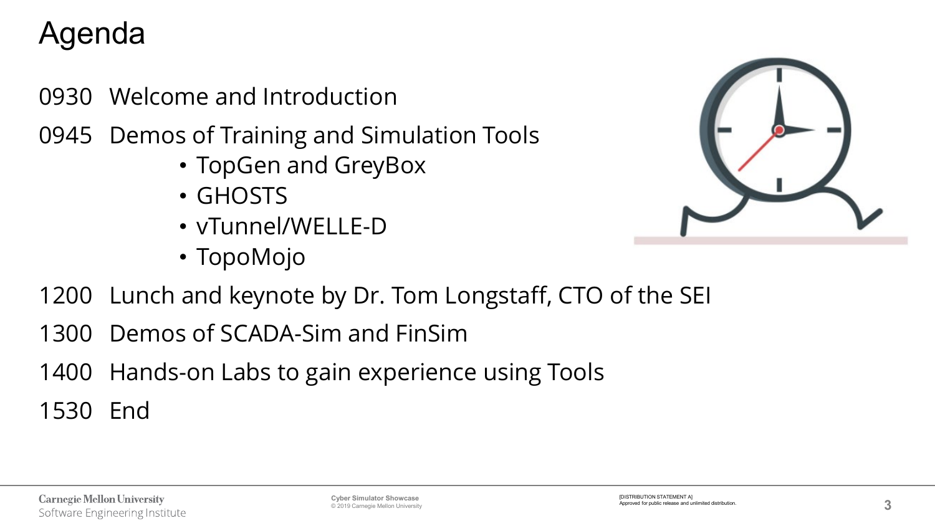# Agenda

- 0930 Welcome and Introduction
- 0945 Demos of Training and Simulation Tools
	- TopGen and GreyBox
	- GHOSTS
	- vTunnel/WELLE-D
	- TopoMojo



- 1200 Lunch and keynote by Dr. Tom Longstaff, CTO of the SEI
- 1300 Demos of SCADA-Sim and FinSim
- 1400 Hands-on Labs to gain experience using Tools

1530 End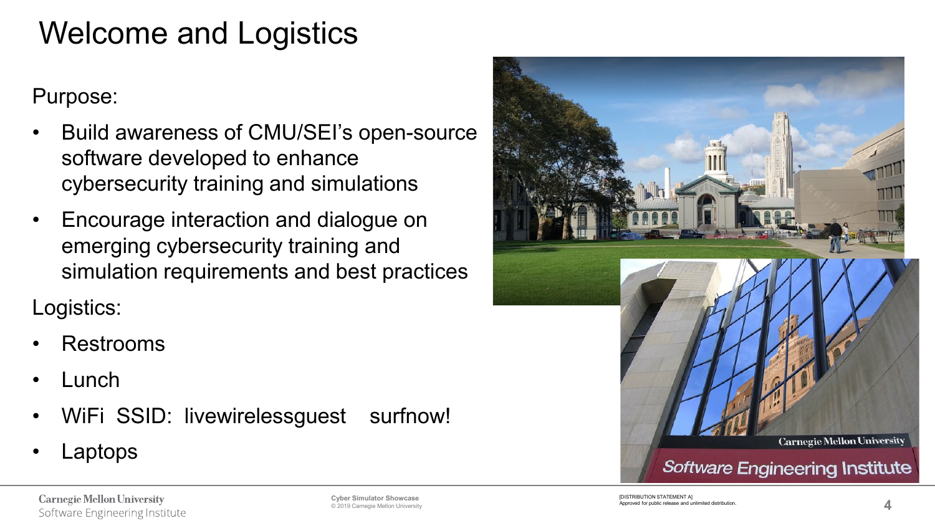## Welcome and Logistics

#### Purpose:

- Build awareness of CMU/SEI's open-source software developed to enhance cybersecurity training and simulations
- Encourage interaction and dialogue on emerging cybersecurity training and simulation requirements and best practices

Logistics:

- Restrooms
- Lunch
- WiFi SSID: livewirelessguest surfnow!
- Laptops



**Carnegie Mellon University** Software Engineering Institute © 2019 Carnegie Mellon University

**Cyber Simulator Showcase**<br>© 2019 Carnegie Mellon University **Apple State of the Cyper State of the Cyper of Approved for public release and unlimited distribution.<br>© 2019 Carnegie Mellon University** INISTRIBUTION STATEMENT AT Approved for public release and unlimited distribution.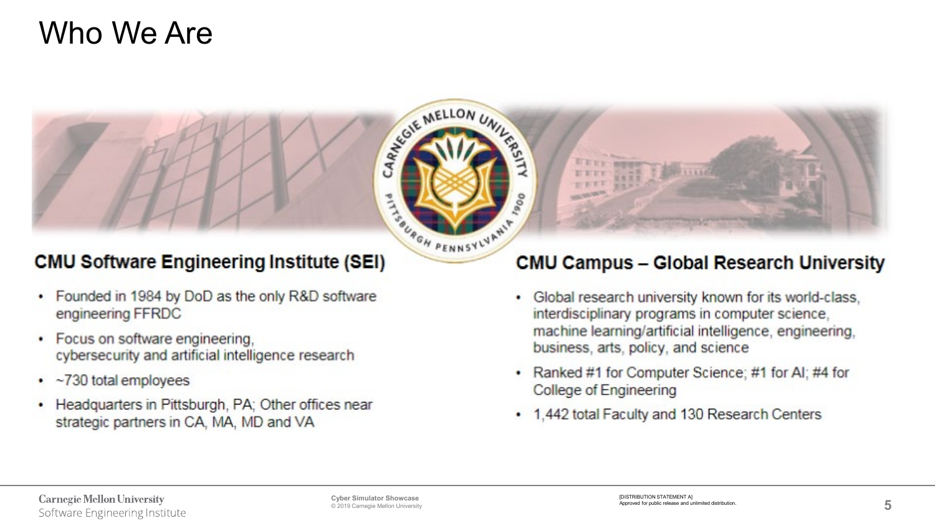### Who We Are



#### **CMU Software Engineering Institute (SEI)**

- Founded in 1984 by DoD as the only R&D software engineering FFRDC
- Focus on software engineering, cybersecurity and artificial intelligence research
- $\cdot$  ~730 total employees
- Headquarters in Pittsburgh, PA; Other offices near strategic partners in CA, MA, MD and VA

#### **CMU Campus - Global Research University**

- Global research university known for its world-class, interdisciplinary programs in computer science, machine learning/artificial intelligence, engineering, business, arts, policy, and science
- Ranked #1 for Computer Science; #1 for Al; #4 for College of Engineering
- 1,442 total Faculty and 130 Research Centers ٠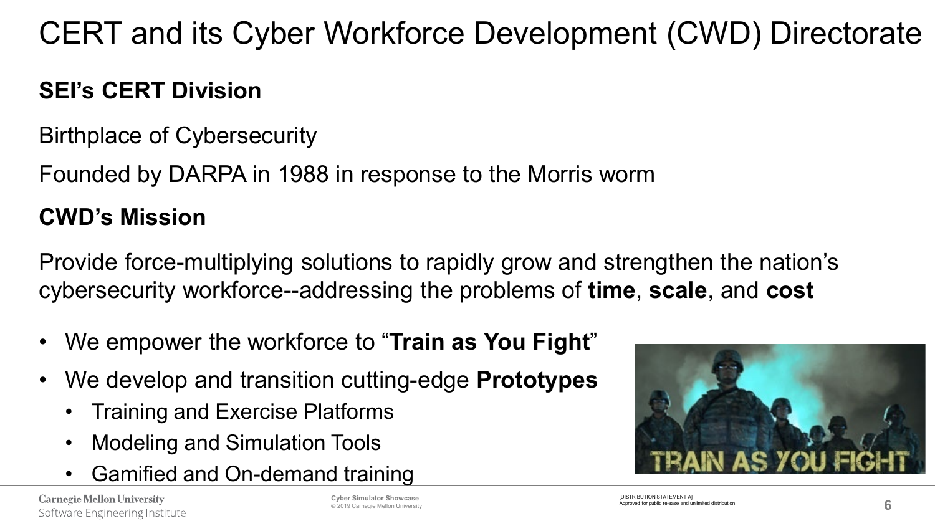CERT and its Cyber Workforce Development (CWD) Directorate

### **SEI's CERT Division**

Birthplace of Cybersecurity

Founded by DARPA in 1988 in response to the Morris worm

### **CWD's Mission**

Provide force-multiplying solutions to rapidly grow and strengthen the nation's cybersecurity workforce--addressing the problems of **time**, **scale**, and **cost**

- We empower the workforce to "**Train as You Fight**"
- We develop and transition cutting-edge **Prototypes**
	- Training and Exercise Platforms
	- Modeling and Simulation Tools
	- Gamified and On-demand training

**Carnegie Mellon University** Software Engineering Institute © 2019 Carnegie Mellon University